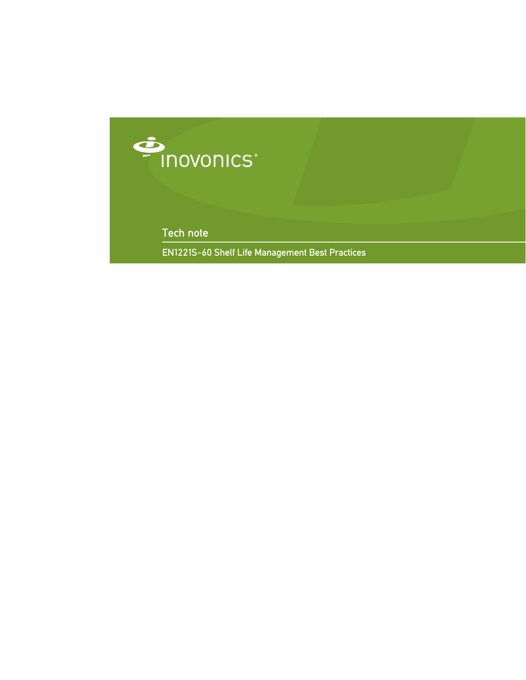

Tech note

EN1221S-60 Shelf Life Management Best Practices